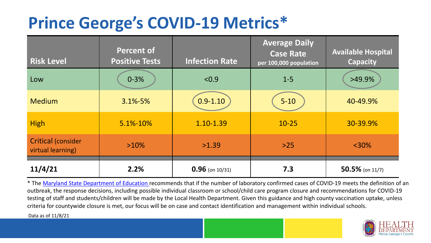## **Prince George's COVID-19 Metrics\***

| <b>Risk Level</b>                              | <b>Percent of</b><br><b>Positive Tests</b> | <b>Infection Rate</b> | <b>Average Daily</b><br><b>Case Rate</b><br>per 100,000 population | <b>Available Hospital</b><br><b>Capacity</b> |
|------------------------------------------------|--------------------------------------------|-----------------------|--------------------------------------------------------------------|----------------------------------------------|
| Low                                            | $0 - 3%$                                   | < 0.9                 | $1 - 5$                                                            | $>49.9\%$                                    |
| <b>Medium</b>                                  | $3.1\% - 5\%$                              | $0.9 - 1.10$          | $5 - 10$                                                           | 40-49.9%                                     |
| <b>High</b>                                    | 5.1%-10%                                   | 1.10-1.39             | $10 - 25$                                                          | 30-39.9%                                     |
| <b>Critical (consider</b><br>virtual learning) | $>10\%$                                    | >1.39                 | $>25$                                                              | $<$ 30%                                      |
| 11/4/21                                        | 2.2%                                       | $0.96$ (on 10/31)     | 7.3                                                                | 50.5% (on $11/7$ )                           |

\* The [Maryland State Department of Education r](https://earlychildhood.marylandpublicschools.org/system/files/filedepot/3/covid_guidance_full_080420.pdf)ecommends that if the number of laboratory confirmed cases of COVID-19 meets the definition of an outbreak, the response decisions, including possible individual classroom or school/child care program closure and recommendations for COVID-19 testing of staff and students/children will be made by the Local Health Department. Given this guidance and high county vaccination uptake, unless criteria for countywide closure is met, our focus will be on case and contact identification and management within individual schools.

Data as of 11/8/21

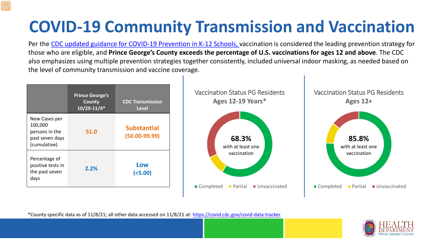# **COVID-19 Community Transmission and Vaccination**

Per the [CDC updated guidance for COVID-19 Prevention in K-12 Schools,](https://www.cdc.gov/coronavirus/2019-ncov/community/schools-childcare/k-12-guidance.html) vaccination is considered the leading prevention strategy for those who are eligible, and **Prince George's County exceeds the percentage of U.S. vaccinations for ages 12 and above**. The CDC also emphasizes using multiple prevention strategies together consistently, included universal indoor masking, as needed based on the level of community transmission and vaccine coverage.



\*County-specific data as of 11/8/21; all other data accessed on 11/8/21 at:<https://covid.cdc.gov/covid-data-tracker>

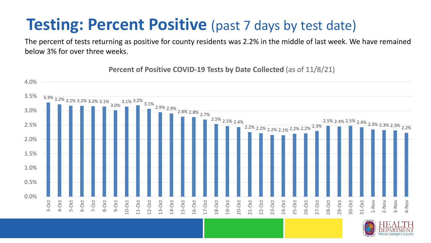#### **Testing: Percent Positive** (past 7 days by test date)

The percent of tests returning as positive for county residents was 2.2% in the middle of last week. We have remained below 3% for over three weeks.

3.3% 3.2% 3.2% 3.2% 3.2% 3.1% 3.0% 3.1% 3.2% 3.1% 2.9% 2.9% 2.8% 2.8% 2.7% 2.5% 2.5% 2.4% 2.2% 2.2% 2.2% 2.1% 2.2% 2.2% 2.3% 2.5% 2.4% 2.5% 2.4% 2.3% 2.3% 2.3% 2.2% 0.0% 0.5% 1.0% 1.5% 2.0% 2.5% 3.0% 3.5% 4.0% 3-Oct 4-Oct 5-Oct 6-Oct 7-Oct 8-Oct 9-Oct 10-Oct 11-Oct 12-Oct 13-Oct 14-Oct 15-Oct 16-Oct 17-Oct 18-Oct 19-Oct 20-Oct 21-Oct 22-Oct 23-Oct 24-Oct 25-Oct 26-Oct 27-Oct 28-Oct 29-Oct 30-Oct 31-Oct 1-Nov 2-Nov 3-Nov 4-Nov

**Percent of Positive COVID-19 Tests by Date Collected** (as of 11/8/21)

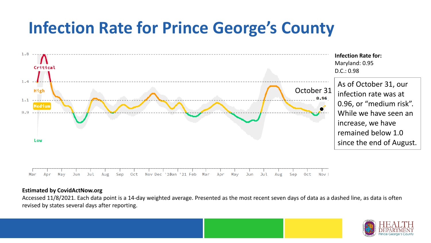### **Infection Rate for Prince George's County**



#### **Estimated by CovidActNow.org**

Accessed 11/8/2021. Each data point is a 14-day weighted average. Presented as the most recent seven days of data as a dashed line, as data is often revised by states several days after reporting.

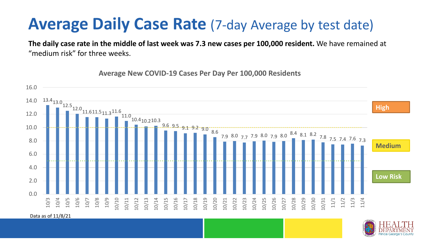#### **Average Daily Case Rate** (7-day Average by test date)

**The daily case rate in the middle of last week was 7.3 new cases per 100,000 resident.** We have remained at "medium risk" for three weeks.

13.4<sub>13.0</sub><br>12.5<sub>12.0</sub><sub>11.611.5</sup>11.3<sup>11.6</sup>11.0</sub>  $10.4_{10.210.3}$  $\frac{9.6}{9.5}$  9.5  $-9.1$  9.2  $-9.0$  8.6 7.9 8.0 7.7 7.9 8.0 7.9 8.0 8.4 8.1 8.2 7.8 7.5 7.4 7.6 7.3 0.0 2.0 4.0 6.0 8.0 10.0 12.0 14.0 16.0 10/3 10/4 10/5 10/6 10/7 10/8 10/9 10/10 10/11 10/12 10/13 10/14 10/15 10/16 10/17 10/18 10/19 10/20 10/21 10/22 10/23 10/24 10/25 10/26 10/27 10/28 10/29 10/30 10/31 11/1 11/2 11/3 11/4 **Low Risk Medium High**

**Average New COVID-19 Cases Per Day Per 100,000 Residents**

Data as of 11/8/21